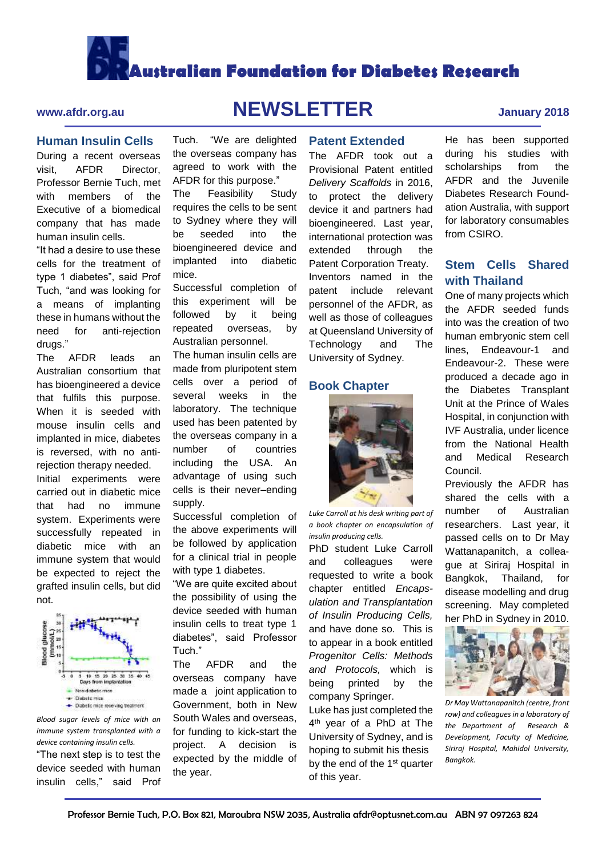# **Australian Foundation for Diabetes Research**

### **Human Insulin Cells**

During a recent overseas visit, AFDR Director, Professor Bernie Tuch, met with members of the Executive of a biomedical company that has made human insulin cells.

"It had a desire to use these cells for the treatment of type 1 diabetes", said Prof Tuch, "and was looking for a means of implanting these in humans without the need for anti-rejection drugs."

The AFDR leads an Australian consortium that has bioengineered a device that fulfils this purpose. When it is seeded with mouse insulin cells and implanted in mice, diabetes is reversed, with no antirejection therapy needed.

Initial experiments were carried out in diabetic mice that had no immune system. Experiments were successfully repeated in diabetic mice with an immune system that would be expected to reject the grafted insulin cells, but did not.



*Blood sugar levels of mice with an immune system transplanted with a device containing insulin cells.*

"The next step is to test the device seeded with human insulin cells," said Prof

# **www.afdr.org.au NEWSLETTER January 2018**

Tuch. "We are delighted the overseas company has agreed to work with the AFDR for this purpose." The Feasibility Study requires the cells to be sent to Sydney where they will be seeded into the bioengineered device and implanted into diabetic

Successful completion of this experiment will be followed by it being repeated overseas, by Australian personnel. The human insulin cells are made from pluripotent stem cells over a period of several weeks in the laboratory. The technique used has been patented by the overseas company in a number of countries including the USA. An advantage of using such cells is their never–ending

Successful completion of the above experiments will be followed by application for a clinical trial in people

"We are quite excited about the possibility of using the device seeded with human insulin cells to treat type 1 diabetes", said Professor

The AFDR and the overseas company have made a joint application to Government, both in New South Wales and overseas, for funding to kick-start the project. A decision is expected by the middle of

with type 1 diabetes.

mice.

supply.

Tuch."

the year.

#### **Patent Extended**

The AFDR took out a Provisional Patent entitled *Delivery Scaffolds* in 2016, to protect the delivery device it and partners had bioengineered. Last year, international protection was extended through the Patent Corporation Treaty. Inventors named in the patent include relevant personnel of the AFDR, as well as those of colleagues at Queensland University of Technology and The University of Sydney.

### **Book Chapter**



*Luke Carroll at his desk writing part of a book chapter on encapsulation of insulin producing cells.*

PhD student Luke Carroll and colleagues were requested to write a book chapter entitled *Encapsulation and Transplantation of Insulin Producing Cells,*  and have done so. This is to appear in a book entitled *Progenitor Cells: Methods and Protocols,* which is being printed by the company Springer.

Luke has just completed the 4 th year of a PhD at The University of Sydney, and is hoping to submit his thesis by the end of the 1<sup>st</sup> quarter of this year.

He has been supported during his studies with scholarships from the AFDR and the Juvenile Diabetes Research Foundation Australia, with support for laboratory consumables from CSIRO.

## **Stem Cells Shared with Thailand**

One of many projects which the AFDR seeded funds into was the creation of two human embryonic stem cell lines, Endeavour-1 and Endeavour-2. These were produced a decade ago in the Diabetes Transplant Unit at the Prince of Wales Hospital, in conjunction with IVF Australia, under licence from the National Health and Medical Research Council.

Previously the AFDR has shared the cells with a number of Australian researchers. Last year, it passed cells on to Dr May Wattanapanitch, a colleague at Siriraj Hospital in Bangkok, Thailand, for disease modelling and drug screening. May completed her PhD in Sydney in 2010.



*Dr May Wattanapanitch (centre, front row) and colleagues in a laboratory of the Department of Research & Development, Faculty of Medicine, Siriraj Hospital, Mahidol University, Bangkok.*